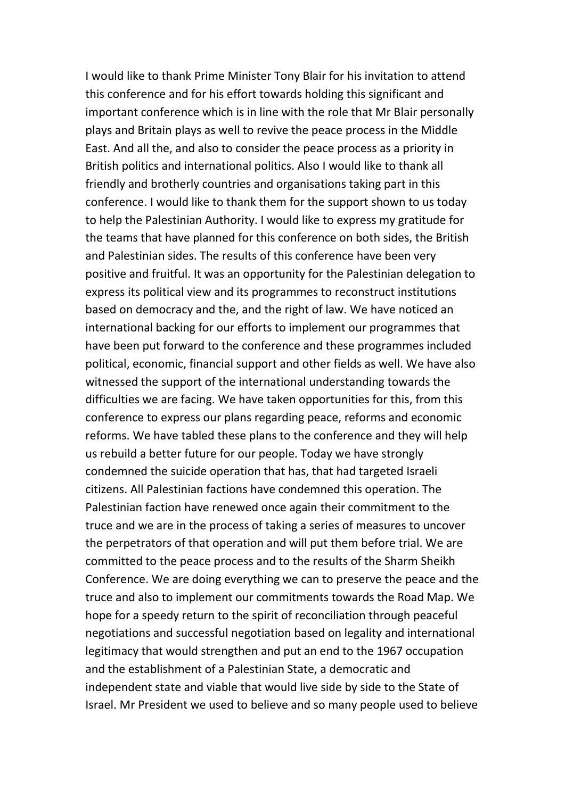I would like to thank Prime Minister Tony Blair for his invitation to attend this conference and for his effort towards holding this significant and important conference which is in line with the role that Mr Blair personally plays and Britain plays as well to revive the peace process in the Middle East. And all the, and also to consider the peace process as a priority in British politics and international politics. Also I would like to thank all friendly and brotherly countries and organisations taking part in this conference. I would like to thank them for the support shown to us today to help the Palestinian Authority. I would like to express my gratitude for the teams that have planned for this conference on both sides, the British and Palestinian sides. The results of this conference have been very positive and fruitful. It was an opportunity for the Palestinian delegation to express its political view and its programmes to reconstruct institutions based on democracy and the, and the right of law. We have noticed an international backing for our efforts to implement our programmes that have been put forward to the conference and these programmes included political, economic, financial support and other fields as well. We have also witnessed the support of the international understanding towards the difficulties we are facing. We have taken opportunities for this, from this conference to express our plans regarding peace, reforms and economic reforms. We have tabled these plans to the conference and they will help us rebuild a better future for our people. Today we have strongly condemned the suicide operation that has, that had targeted Israeli citizens. All Palestinian factions have condemned this operation. The Palestinian faction have renewed once again their commitment to the truce and we are in the process of taking a series of measures to uncover the perpetrators of that operation and will put them before trial. We are committed to the peace process and to the results of the Sharm Sheikh Conference. We are doing everything we can to preserve the peace and the truce and also to implement our commitments towards the Road Map. We hope for a speedy return to the spirit of reconciliation through peaceful negotiations and successful negotiation based on legality and international legitimacy that would strengthen and put an end to the 1967 occupation and the establishment of a Palestinian State, a democratic and independent state and viable that would live side by side to the State of Israel. Mr President we used to believe and so many people used to believe